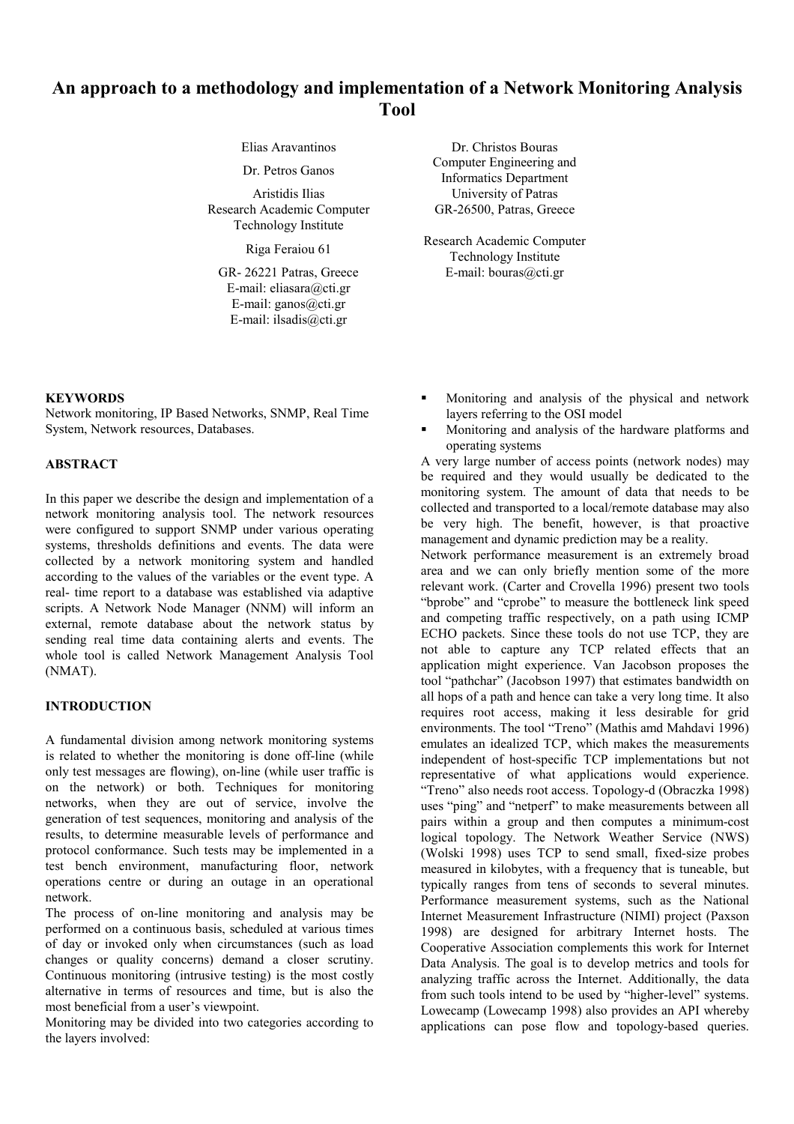# **An approach to a methodology and implementation of a Network Monitoring Analysis Tool**

Research Academic Computer Technology Institute

E-mail: eliasara@cti.gr E-mail: ganos@cti.gr E-mail: ilsadis@cti.gr

Elias Aravantinos Dr. Christos Bouras Dr. Petros Ganos Computer Engineering and Informatics Department Aristidis Ilias University of Patras GR-26500, Patras, Greece

Riga Feraiou 61 Research Academic Computer Technology Institute GR- 26221 Patras, Greece E-mail: bouras@cti.gr

**KEYWORDS**

Network monitoring, IP Based Networks, SNMP, Real Time System, Network resources, Databases.

# **ABSTRACT**

In this paper we describe the design and implementation of a network monitoring analysis tool. The network resources were configured to support SNMP under various operating systems, thresholds definitions and events. The data were collected by a network monitoring system and handled according to the values of the variables or the event type. A real- time report to a database was established via adaptive scripts. A Network Node Manager (NNM) will inform an external, remote database about the network status by sending real time data containing alerts and events. The whole tool is called Network Management Analysis Tool (NMAT).

## **INTRODUCTION**

A fundamental division among network monitoring systems is related to whether the monitoring is done off-line (while only test messages are flowing), on-line (while user traffic is on the network) or both. Techniques for monitoring networks, when they are out of service, involve the generation of test sequences, monitoring and analysis of the results, to determine measurable levels of performance and protocol conformance. Such tests may be implemented in a test bench environment, manufacturing floor, network operations centre or during an outage in an operational network.

The process of on-line monitoring and analysis may be performed on a continuous basis, scheduled at various times of day or invoked only when circumstances (such as load changes or quality concerns) demand a closer scrutiny. Continuous monitoring (intrusive testing) is the most costly alternative in terms of resources and time, but is also the most beneficial from a user's viewpoint.

Monitoring may be divided into two categories according to the layers involved:

- Monitoring and analysis of the physical and network layers referring to the OSI model
- Monitoring and analysis of the hardware platforms and operating systems

A very large number of access points (network nodes) may be required and they would usually be dedicated to the monitoring system. The amount of data that needs to be collected and transported to a local/remote database may also be very high. The benefit, however, is that proactive management and dynamic prediction may be a reality.

Network performance measurement is an extremely broad area and we can only briefly mention some of the more relevant work. (Carter and Crovella 1996) present two tools "bprobe" and "cprobe" to measure the bottleneck link speed and competing traffic respectively, on a path using ICMP ECHO packets. Since these tools do not use TCP, they are not able to capture any TCP related effects that an application might experience. Van Jacobson proposes the tool "pathchar" (Jacobson 1997) that estimates bandwidth on all hops of a path and hence can take a very long time. It also requires root access, making it less desirable for grid environments. The tool "Treno" (Mathis amd Mahdavi 1996) emulates an idealized TCP, which makes the measurements independent of host-specific TCP implementations but not representative of what applications would experience. "Treno" also needs root access. Topology-d (Obraczka 1998) uses "ping" and "netperf" to make measurements between all pairs within a group and then computes a minimum-cost logical topology. The Network Weather Service (NWS) (Wolski 1998) uses TCP to send small, fixed-size probes measured in kilobytes, with a frequency that is tuneable, but typically ranges from tens of seconds to several minutes. Performance measurement systems, such as the National Internet Measurement Infrastructure (NIMI) project (Paxson 1998) are designed for arbitrary Internet hosts. The Cooperative Association complements this work for Internet Data Analysis. The goal is to develop metrics and tools for analyzing traffic across the Internet. Additionally, the data from such tools intend to be used by "higher-level" systems. Lowecamp (Lowecamp 1998) also provides an API whereby applications can pose flow and topology-based queries.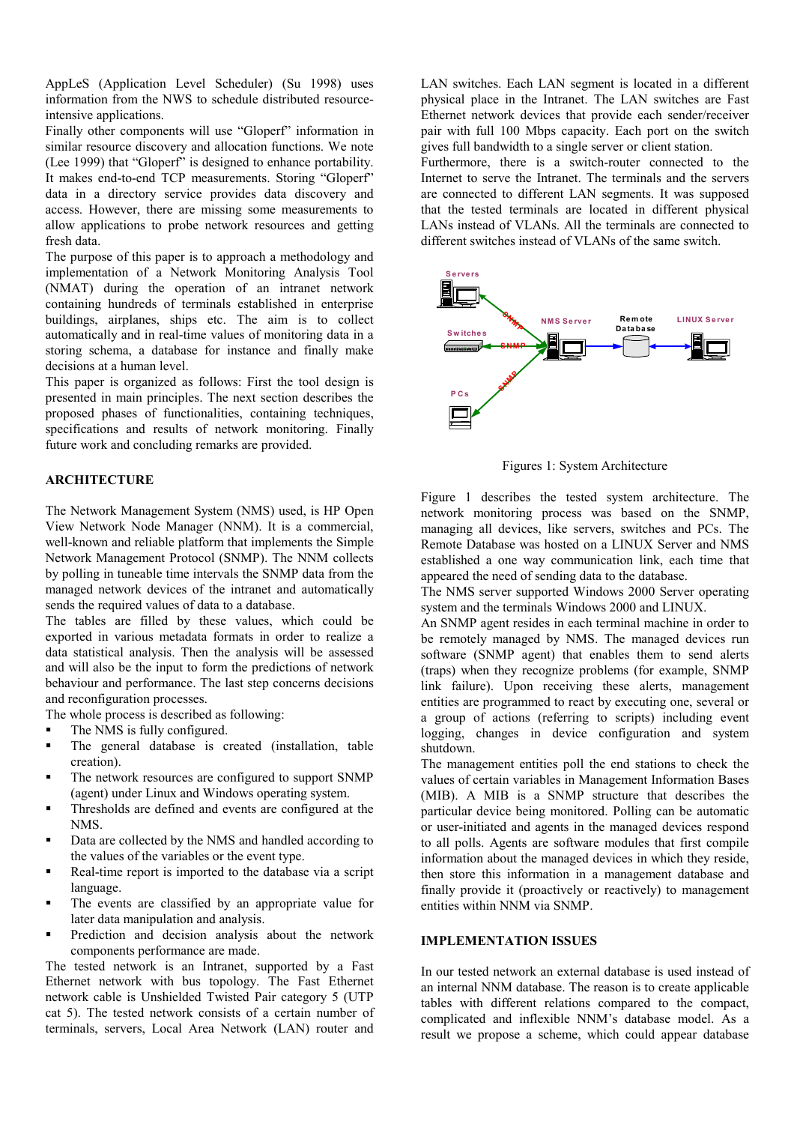AppLeS (Application Level Scheduler) (Su 1998) uses information from the NWS to schedule distributed resourceintensive applications.

Finally other components will use "Gloperf" information in similar resource discovery and allocation functions. We note (Lee 1999) that "Gloperf" is designed to enhance portability. It makes end-to-end TCP measurements. Storing "Gloperf" data in a directory service provides data discovery and access. However, there are missing some measurements to allow applications to probe network resources and getting fresh data.

The purpose of this paper is to approach a methodology and implementation of a Network Monitoring Analysis Tool (NMAT) during the operation of an intranet network containing hundreds of terminals established in enterprise buildings, airplanes, ships etc. The aim is to collect automatically and in real-time values of monitoring data in a storing schema, a database for instance and finally make decisions at a human level.

This paper is organized as follows: First the tool design is presented in main principles. The next section describes the proposed phases of functionalities, containing techniques, specifications and results of network monitoring. Finally future work and concluding remarks are provided.

## **ARCHITECTURE**

The Network Management System (NMS) used, is HP Open View Network Node Manager (NNM). It is a commercial, well-known and reliable platform that implements the Simple Network Management Protocol (SNMP). The NNM collects by polling in tuneable time intervals the SNMP data from the managed network devices of the intranet and automatically sends the required values of data to a database.

The tables are filled by these values, which could be exported in various metadata formats in order to realize a data statistical analysis. Then the analysis will be assessed and will also be the input to form the predictions of network behaviour and performance. The last step concerns decisions and reconfiguration processes.

The whole process is described as following:

- The NMS is fully configured.
- The general database is created (installation, table creation).
- The network resources are configured to support SNMP (agent) under Linux and Windows operating system.
- Thresholds are defined and events are configured at the NMS.
- Data are collected by the NMS and handled according to the values of the variables or the event type.
- Real-time report is imported to the database via a script language.
- The events are classified by an appropriate value for later data manipulation and analysis.
- Prediction and decision analysis about the network components performance are made.

The tested network is an Intranet, supported by a Fast Ethernet network with bus topology. The Fast Ethernet network cable is Unshielded Twisted Pair category 5 (UTP cat 5). The tested network consists of a certain number of terminals, servers, Local Area Network (LAN) router and

LAN switches. Each LAN segment is located in a different physical place in the Intranet. The LAN switches are Fast Ethernet network devices that provide each sender/receiver pair with full 100 Mbps capacity. Each port on the switch gives full bandwidth to a single server or client station.

Furthermore, there is a switch-router connected to the Internet to serve the Intranet. The terminals and the servers are connected to different LAN segments. It was supposed that the tested terminals are located in different physical LANs instead of VLANs. All the terminals are connected to different switches instead of VLANs of the same switch.



Figures 1: System Architecture

Figure 1 describes the tested system architecture. The network monitoring process was based on the SNMP, managing all devices, like servers, switches and PCs. The Remote Database was hosted on a LINUX Server and NMS established a one way communication link, each time that appeared the need of sending data to the database.

The NMS server supported Windows 2000 Server operating system and the terminals Windows 2000 and LINUX.

An SNMP agent resides in each terminal machine in order to be remotely managed by NMS. The managed devices run software (SNMP agent) that enables them to send alerts (traps) when they recognize problems (for example, SNMP link failure). Upon receiving these alerts, management entities are programmed to react by executing one, several or a group of actions (referring to scripts) including event logging, changes in device configuration and system shutdown.

The management entities poll the end stations to check the values of certain variables in Management Information Bases (MIB). A MIB is a SNMP structure that describes the particular device being monitored. Polling can be automatic or user-initiated and agents in the managed devices respond to all polls. Agents are software modules that first compile information about the managed devices in which they reside, then store this information in a management database and finally provide it (proactively or reactively) to management entities within NNM via SNMP.

## **IMPLEMENTATION ISSUES**

In our tested network an external database is used instead of an internal NNM database. The reason is to create applicable tables with different relations compared to the compact, complicated and inflexible NNM's database model. As a result we propose a scheme, which could appear database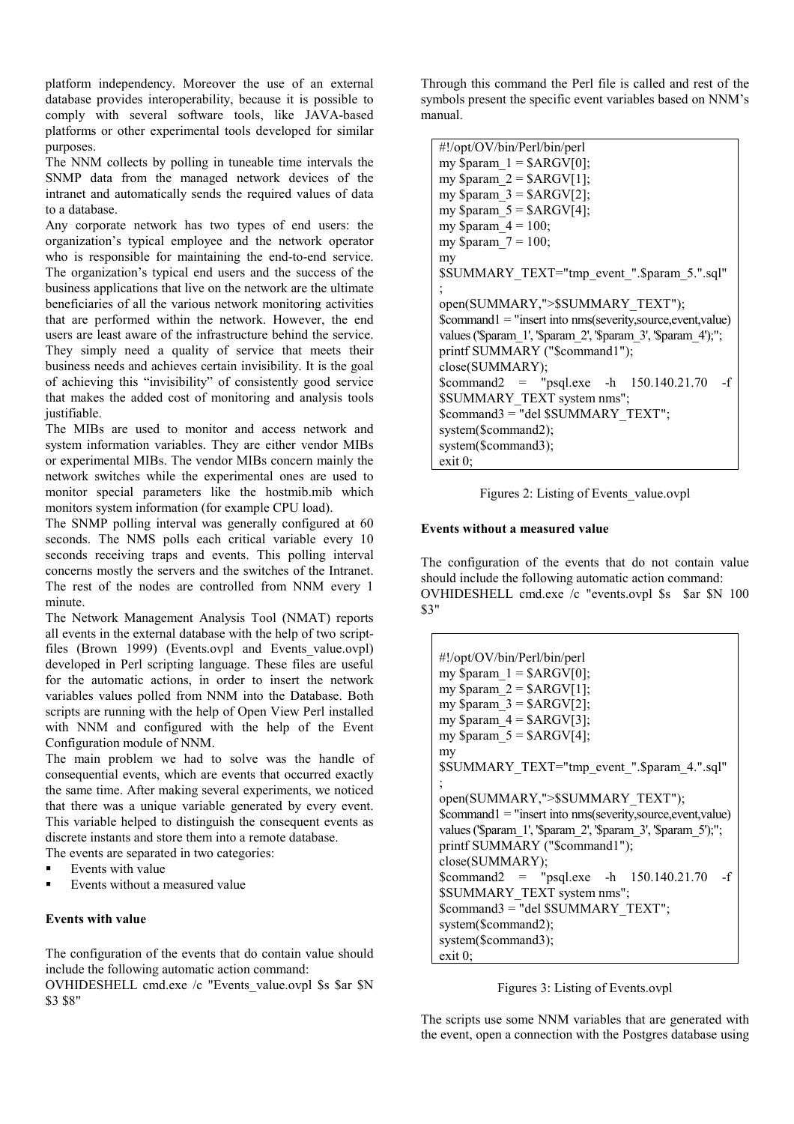platform independency. Moreover the use of an external database provides interoperability, because it is possible to comply with several software tools, like JAVA-based platforms or other experimental tools developed for similar purposes.

The NNM collects by polling in tuneable time intervals the SNMP data from the managed network devices of the intranet and automatically sends the required values of data to a database.

Any corporate network has two types of end users: the organization's typical employee and the network operator who is responsible for maintaining the end-to-end service. The organization's typical end users and the success of the business applications that live on the network are the ultimate beneficiaries of all the various network monitoring activities that are performed within the network. However, the end users are least aware of the infrastructure behind the service. They simply need a quality of service that meets their business needs and achieves certain invisibility. It is the goal of achieving this "invisibility" of consistently good service that makes the added cost of monitoring and analysis tools justifiable.

The MIBs are used to monitor and access network and system information variables. They are either vendor MIBs or experimental MIBs. The vendor MIBs concern mainly the network switches while the experimental ones are used to monitor special parameters like the hostmib.mib which monitors system information (for example CPU load).

The SNMP polling interval was generally configured at 60 seconds. The NMS polls each critical variable every 10 seconds receiving traps and events. This polling interval concerns mostly the servers and the switches of the Intranet. The rest of the nodes are controlled from NNM every 1 minute.

The Network Management Analysis Tool (NMAT) reports all events in the external database with the help of two scriptfiles (Brown 1999) (Events.ovpl and Events value.ovpl) developed in Perl scripting language. These files are useful for the automatic actions, in order to insert the network variables values polled from NNM into the Database. Both scripts are running with the help of Open View Perl installed with NNM and configured with the help of the Event Configuration module of NNM.

The main problem we had to solve was the handle of consequential events, which are events that occurred exactly the same time. After making several experiments, we noticed that there was a unique variable generated by every event. This variable helped to distinguish the consequent events as discrete instants and store them into a remote database.

The events are separated in two categories:

- Events with value
- Events without a measured value

## **Events with value**

The configuration of the events that do contain value should include the following automatic action command:

OVHIDESHELL cmd.exe /c "Events\_value.ovpl \$s \$ar \$N \$3 \$8"

Through this command the Perl file is called and rest of the symbols present the specific event variables based on NNM's manual.

```
#!/opt/OV/bin/Perl/bin/perl
my \gamma = \frac{8}{\text{A}}RGV[0];my \gamma = \frac{8}{\text{A}}RGV[1];
my \gamma = \frac{8}{\text{A}} \cdot \frac{1}{2};
my \gamma = \frac{5}{8}ARGV[4];
my \gamma = 100;
my \text{Sparam } 7 = 100;
my
$SUMMARY_TEXT="tmp_event_".$param_5.".sql"
;
open(SUMMARY,">$SUMMARY_TEXT");
$command1 = "insert into nms(severity,source,event,value)
values ('$param_1', '$param_2', '$param_3', '$param_4');";
printf SUMMARY ("$command1");
close(SUMMARY);
$command2 = "psql.exe -h 150.140.21.70 -f
$SUMMARY_TEXT system nms";
$command3 = "del $SUMMARY_TEXT";
system($command2);
system($command3);
exit 0;
```
Figures 2: Listing of Events\_value.ovpl

## **Events without a measured value**

The configuration of the events that do not contain value should include the following automatic action command: OVHIDESHELL cmd.exe /c "events.ovpl \$s \$ar \$N 100 \$3"

```
#!/opt/OV/bin/Perl/bin/perl
my $param 1 = $ARGV[0];my $param 2 = $ARGV[1];my \gamma = \frac{3}{8}ARGV[2];
my \gamma = 4 = \text{SARGV[3]};
my \gamma = $ARGV[4];my
$SUMMARY_TEXT="tmp_event_".$param_4.".sql"
;
open(SUMMARY,">$SUMMARY_TEXT");
$command1 = "insert into nms(severity,source,event,value)
values ('$param_1', '$param_2', '$param_3', '$param_5');";
printf SUMMARY ("$command1");
close(SUMMARY);
$command2 = "psql.exe -h 150.140.21.70 -f
$SUMMARY_TEXT system nms";
$command3 = "del $SUMMARY_TEXT";
system($command2);
system($command3);
exit 0;
```
Figures 3: Listing of Events.ovpl

The scripts use some NNM variables that are generated with the event, open a connection with the Postgres database using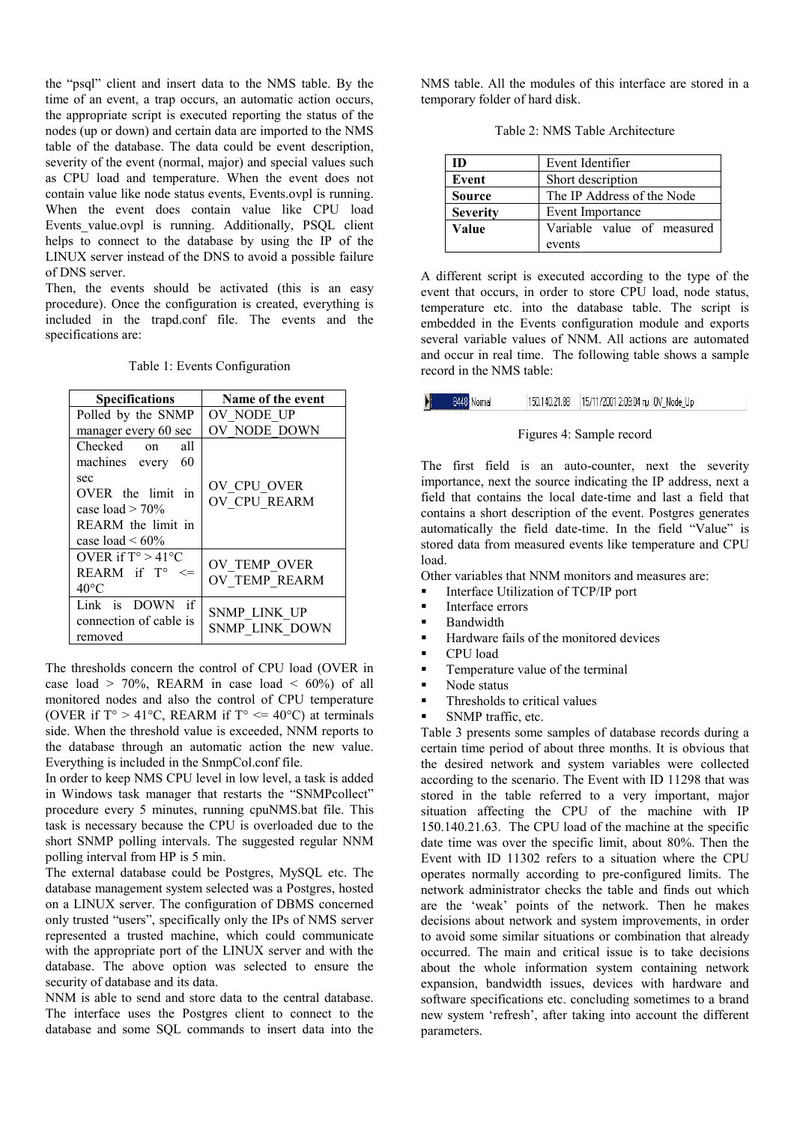the "psql" client and insert data to the NMS table. By the time of an event, a trap occurs, an automatic action occurs, the appropriate script is executed reporting the status of the nodes (up or down) and certain data are imported to the NMS table of the database. The data could be event description, severity of the event (normal, major) and special values such as CPU load and temperature. When the event does not contain value like node status events, Events.ovpl is running. When the event does contain value like CPU load Events value.ovpl is running. Additionally, PSQL client helps to connect to the database by using the IP of the LINUX server instead of the DNS to avoid a possible failure of DNS server.

Then, the events should be activated (this is an easy procedure). Once the configuration is created, everything is included in the trapd.conf file. The events and the specifications are:

| <b>Specifications</b>                                                                                                                              | Name of the event                     |  |  |
|----------------------------------------------------------------------------------------------------------------------------------------------------|---------------------------------------|--|--|
| Polled by the SNMP                                                                                                                                 | OV NODE UP                            |  |  |
| manager every 60 sec                                                                                                                               | OV NODE DOWN                          |  |  |
| Checked<br>all<br>$\alpha$<br>machines every<br>60<br>sec<br>OVER the limit in<br>case load $>$ 70%<br>REARM the limit in<br>case load $\leq 60\%$ | OV CPU OVER<br>OV CPU REARM           |  |  |
| OVER if $T^{\circ} > 41^{\circ}C$<br>REARM if T°<br><=<br>$40^{\circ}$ C                                                                           | OV TEMP OVER<br>OV TEMP REARM         |  |  |
| Link is DOWN if<br>connection of cable is<br>removed                                                                                               | <b>SNMP LINK UP</b><br>SNMP LINK DOWN |  |  |

The thresholds concern the control of CPU load (OVER in case load  $> 70\%$ , REARM in case load  $< 60\%$ ) of all monitored nodes and also the control of CPU temperature (OVER if  $T^{\circ} > 41^{\circ}C$ , REARM if  $T^{\circ} \le 40^{\circ}C$ ) at terminals side. When the threshold value is exceeded, NNM reports to the database through an automatic action the new value. Everything is included in the SnmpCol.conf file.

In order to keep NMS CPU level in low level, a task is added in Windows task manager that restarts the "SNMPcollect" procedure every 5 minutes, running cpuNMS.bat file. This task is necessary because the CPU is overloaded due to the short SNMP polling intervals. The suggested regular NNM polling interval from HP is 5 min.

The external database could be Postgres, MySQL etc. The database management system selected was a Postgres, hosted on a LINUX server. The configuration of DBMS concerned only trusted "users", specifically only the IPs of NMS server represented a trusted machine, which could communicate with the appropriate port of the LINUX server and with the database. The above option was selected to ensure the security of database and its data.

NNM is able to send and store data to the central database. The interface uses the Postgres client to connect to the database and some SQL commands to insert data into the

NMS table. All the modules of this interface are stored in a temporary folder of hard disk.

|  | Table 2: NMS Table Architecture |
|--|---------------------------------|
|--|---------------------------------|

| ID              | Event Identifier           |  |  |
|-----------------|----------------------------|--|--|
| Event           | Short description          |  |  |
| Source          | The IP Address of the Node |  |  |
| <b>Severity</b> | Event Importance           |  |  |
| Value           | Variable value of measured |  |  |
|                 | events                     |  |  |

A different script is executed according to the type of the event that occurs, in order to store CPU load, node status, temperature etc. into the database table. The script is embedded in the Events configuration module and exports several variable values of NNM. All actions are automated and occur in real time. The following table shows a sample record in the NMS table:

8448 Normal 

#### Figures 4: Sample record

The first field is an auto-counter, next the severity importance, next the source indicating the IP address, next a field that contains the local date-time and last a field that contains a short description of the event. Postgres generates automatically the field date-time. In the field "Value" is stored data from measured events like temperature and CPU load.

Other variables that NNM monitors and measures are:

- Interface Utilization of TCP/IP port
- Interface errors
- Bandwidth
- Hardware fails of the monitored devices
- CPU load
- **Temperature value of the terminal**
- Node status
- Thresholds to critical values
- SNMP traffic, etc.

Table 3 presents some samples of database records during a certain time period of about three months. It is obvious that the desired network and system variables were collected according to the scenario. The Event with ID 11298 that was stored in the table referred to a very important, major situation affecting the CPU of the machine with IP 150.140.21.63. The CPU load of the machine at the specific date time was over the specific limit, about 80%. Then the Event with ID 11302 refers to a situation where the CPU operates normally according to pre-configured limits. The network administrator checks the table and finds out which are the 'weak' points of the network. Then he makes decisions about network and system improvements, in order to avoid some similar situations or combination that already occurred. The main and critical issue is to take decisions about the whole information system containing network expansion, bandwidth issues, devices with hardware and software specifications etc. concluding sometimes to a brand new system 'refresh', after taking into account the different parameters.